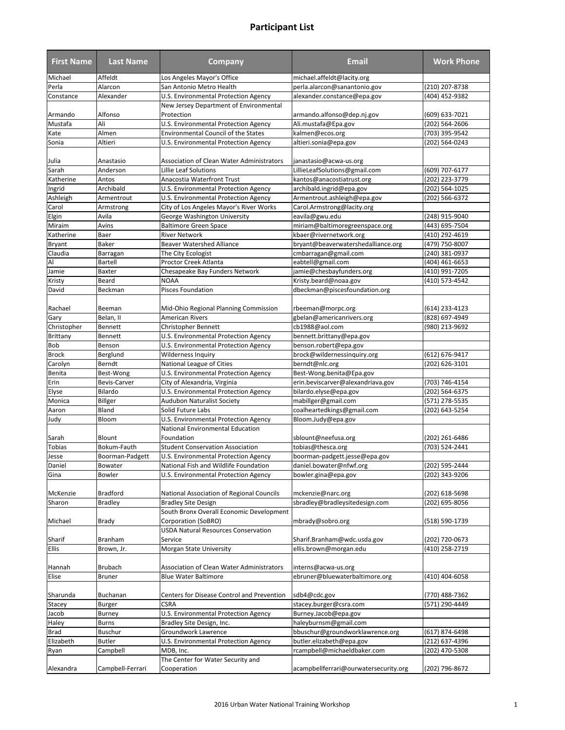| <b>First Name</b> | <b>Last Name</b> | <b>Company</b>                                 | <b>Email</b>                          | <b>Work Phone</b> |
|-------------------|------------------|------------------------------------------------|---------------------------------------|-------------------|
| Michael           | Affeldt          | Los Angeles Mayor's Office                     | michael.affeldt@lacity.org            |                   |
| Perla             | Alarcon          | San Antonio Metro Health                       | perla.alarcon@sanantonio.gov          | (210) 207-8738    |
| Constance         | Alexander        | U.S. Environmental Protection Agency           | alexander.constance@epa.gov           | (404) 452-9382    |
|                   |                  | New Jersey Department of Environmental         |                                       |                   |
| Armando           | Alfonso          | Protection                                     | armando.alfonso@dep.nj.gov            | (609) 633-7021    |
| Mustafa           | Ali              | U.S. Environmental Protection Agency           | Ali.mustafa@Epa.gov                   | (202) 564-2606    |
| Kate              | Almen            | <b>Environmental Council of the States</b>     | kalmen@ecos.org                       | (703) 395-9542    |
| Sonia             | Altieri          | U.S. Environmental Protection Agency           | altieri.sonia@epa.gov                 | (202) 564-0243    |
| Julia             | Anastasio        | Association of Clean Water Administrators      | janastasio@acwa-us.org                |                   |
| Sarah             | Anderson         | Lillie Leaf Solutions                          | LillieLeafSolutions@gmail.com         | (609) 707-6177    |
| Katherine         | Antos            | Anacostia Waterfront Trust                     | kantos@anacostiatrust.org             | (202) 223-3779    |
| Ingrid            | Archibald        | U.S. Environmental Protection Agency           | archibald.ingrid@epa.gov              | (202) 564-1025    |
| Ashleigh          | Armentrout       | U.S. Environmental Protection Agency           | Armentrout.ashleigh@epa.gov           | (202) 566-6372    |
| Carol             | Armstrong        | City of Los Angeles Mayor's River Works        | Carol.Armstrong@lacity.org            |                   |
| Elgin             | Avila            | George Washington University                   | eavila@gwu.edu                        | (248) 915-9040    |
| Miraim            | Avins            | <b>Baltimore Green Space</b>                   | miriam@baltimoregreenspace.org        | (443) 695-7504    |
| Katherine         | Baer             | <b>River Network</b>                           | kbaer@rivernetwork.org                | (410) 292-4619    |
| Bryant            | Baker            | <b>Beaver Watershed Alliance</b>               | bryant@beaverwatershedalliance.org    | (479) 750-8007    |
| Claudia           | Barragan         | The City Ecologist                             | cmbarragan@gmail.com                  | (240) 381-0937    |
| Al                | Bartell          | <b>Proctor Creek Atlanta</b>                   | eabtell@gmail.com                     | (404) 461-6653    |
| Jamie             | Baxter           | Chesapeake Bay Funders Network                 | jamie@chesbayfunders.org              | (410) 991-7205    |
| Kristy            | Beard            | <b>NOAA</b>                                    | Kristy.beard@noaa.gov                 | (410) 573-4542    |
| David             | Beckman          | Pisces Foundation                              | dbeckman@piscesfoundation.org         |                   |
| Rachael           | Beeman           | Mid-Ohio Regional Planning Commission          | rbeeman@morpc.org                     | (614) 233-4123    |
| Gary              | Belan, II        | <b>American Rivers</b>                         | gbelan@americanrivers.org             | (828) 697-4949    |
| Christopher       | Bennett          | <b>Christopher Bennett</b>                     | cb1988@aol.com                        | (980) 213-9692    |
| Brittany          | Bennett          | U.S. Environmental Protection Agency           | bennett.brittany@epa.gov              |                   |
| Bob               | Benson           | U.S. Environmental Protection Agency           | benson.robert@epa.gov                 |                   |
| <b>Brock</b>      | Berglund         | Wilderness Inquiry                             | brock@wildernessinguiry.org           | (612) 676-9417    |
| Carolyn           | Berndt           | National League of Cities                      | berndt@nlc.org                        | (202) 626-3101    |
| Benita            | Best-Wong        | U.S. Environmental Protection Agency           | Best-Wong.benita@Epa.gov              |                   |
| Erin              | Bevis-Carver     | City of Alexandria, Virginia                   | erin.beviscarver@alexandriava.gov     | (703) 746-4154    |
| Elyse             | Bilardo          | U.S. Environmental Protection Agency           | bilardo.elyse@epa.gov                 | (202) 564-6375    |
| Monica            | Billger          | <b>Audubon Naturalist Society</b>              | mabillger@gmail.com                   | (571) 278-5535    |
| Aaron             | Bland            | Solid Future Labs                              | coalheartedkings@gmail.com            | (202) 643-5254    |
| Judy              | Bloom            | U.S. Environmental Protection Agency           | Bloom.Judy@epa.gov                    |                   |
| Sarah             | Blount           | National Environmental Education<br>Foundation | sblount@neefusa.org                   | (202) 261-6486    |
| <b>Tobias</b>     | Bokum-Fauth      | <b>Student Conservation Association</b>        | tobias@thesca.org                     | (703) 524-2441    |
| Jesse             | Boorman-Padgett  | U.S. Environmental Protection Agency           | boorman-padgett.jesse@epa.gov         |                   |
| Daniel            | Bowater          | National Fish and Wildlife Foundation          | daniel.bowater@nfwf.org               | (202) 595-2444    |
| Gina              | Bowler           | <b>U.S. Environmental Protection Agency</b>    | bowler.gina@epa.gov                   | (202) 343-9206    |
| McKenzie          | Bradford         | National Association of Regional Councils      | mckenzie@narc.org                     | (202) 618-5698    |
| Sharon            | <b>Bradley</b>   | <b>Bradley Site Design</b>                     | sbradley@bradleysitedesign.com        | (202) 695-8056    |
|                   |                  | South Bronx Overall Economic Development       |                                       |                   |
| Michael           | Brady            | Corporation (SoBRO)                            | mbrady@sobro.org                      | (518) 590-1739    |
|                   |                  | <b>USDA Natural Resources Conservation</b>     |                                       |                   |
| Sharif            | Branham          | Service                                        | Sharif.Branham@wdc.usda.gov           | (202) 720-0673    |
| Ellis             | Brown, Jr.       | Morgan State University                        | ellis.brown@morgan.edu                | (410) 258-2719    |
| Hannah            | <b>Brubach</b>   | Association of Clean Water Administrators      | interns@acwa-us.org                   |                   |
| Elise             | <b>Bruner</b>    | <b>Blue Water Baltimore</b>                    | ebruner@bluewaterbaltimore.org        | (410) 404-6058    |
| Sharunda          | Buchanan         | Centers for Disease Control and Prevention     | sdb4@cdc.gov                          | (770) 488-7362    |
| Stacey            | Burger           | <b>CSRA</b>                                    | stacey.burger@csra.com                | (571) 290-4449    |
| Jacob             | Burney           | U.S. Environmental Protection Agency           | Burney.Jacob@epa.gov                  |                   |
| Haley             | Burns            | Bradley Site Design, Inc.                      | haleyburnsm@gmail.com                 |                   |
| <b>Brad</b>       | Buschur          | Groundwork Lawrence                            | bbuschur@groundworklawrence.org       | (617) 874-6498    |
| Elizabeth         | <b>Butler</b>    | U.S. Environmental Protection Agency           | butler.elizabeth@epa.gov              | (212) 637-4396    |
| Ryan              | Campbell         | MDB, Inc.                                      | rcampbell@michaeldbaker.com           | (202) 470-5308    |
|                   |                  | The Center for Water Security and              |                                       |                   |
| Alexandra         | Campbell-Ferrari | Cooperation                                    | acampbellferrari@ourwatersecurity.org | (202) 796-8672    |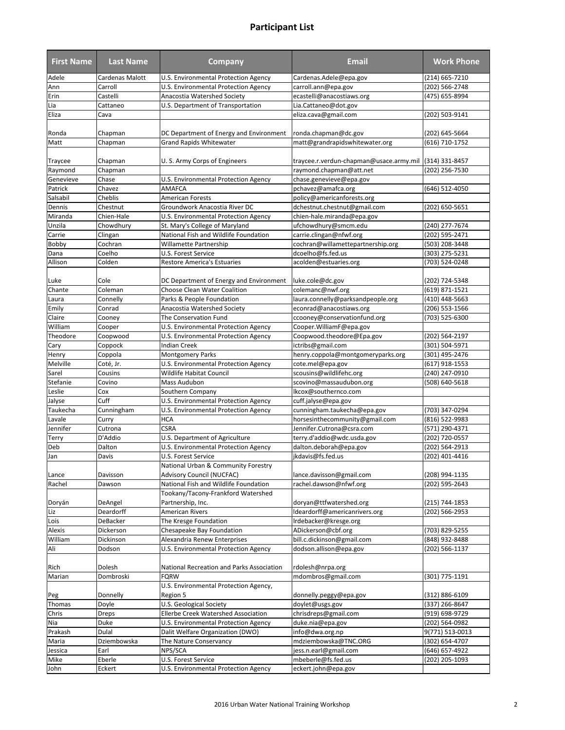| <b>First Name</b>    | <b>Last Name</b>      | <b>Company</b>                                        | <b>Email</b>                                             | <b>Work Phone</b>                |
|----------------------|-----------------------|-------------------------------------------------------|----------------------------------------------------------|----------------------------------|
| Adele                | Cardenas Malott       | U.S. Environmental Protection Agency                  | Cardenas.Adele@epa.gov                                   | (214) 665-7210                   |
| Ann                  | Carroll               | U.S. Environmental Protection Agency                  | carroll.ann@epa.gov                                      | (202) 566-2748                   |
| Erin                 | Castelli              | Anacostia Watershed Society                           | ecastelli@anacostiaws.org                                | (475) 655-8994                   |
| Lia                  | Cattaneo              | U.S. Department of Transportation                     | Lia.Cattaneo@dot.gov                                     |                                  |
| Eliza                | Cava                  |                                                       | eliza.cava@gmail.com                                     | (202) 503-9141                   |
|                      |                       |                                                       |                                                          |                                  |
| Ronda                | Chapman               | DC Department of Energy and Environment               | ronda.chapman@dc.gov                                     | (202) 645-5664                   |
| Matt                 | Chapman               | <b>Grand Rapids Whitewater</b>                        | matt@grandrapidswhitewater.org                           | (616) 710-1752                   |
|                      |                       |                                                       | traycee.r.verdun-chapman@usace.army.mil                  |                                  |
| Traycee              | Chapman               | U. S. Army Corps of Engineers                         | raymond.chapman@att.net                                  | (314) 331-8457                   |
| Raymond<br>Genevieve | Chapman<br>Chase      |                                                       | chase.genevieve@epa.gov                                  | (202) 256-7530                   |
| Patrick              | Chavez                | U.S. Environmental Protection Agency<br><b>AMAFCA</b> | pchavez@amafca.org                                       | (646) 512-4050                   |
| Salsabil             | Cheblis               | <b>American Forests</b>                               | policy@americanforests.org                               |                                  |
| Dennis               | Chestnut              | Groundwork Anacostia River DC                         | dchestnut.chestnut@gmail.com                             | (202) 650-5651                   |
| Miranda              | Chien-Hale            | U.S. Environmental Protection Agency                  | chien-hale.miranda@epa.gov                               |                                  |
| Unzila               | Chowdhury             | St. Mary's College of Maryland                        | ufchowdhury@smcm.edu                                     | (240) 277-7674                   |
| Carrie               |                       | National Fish and Wildlife Foundation                 | carrie.clingan@nfwf.org                                  | (202) 595-2471                   |
| Bobby                | Clingan<br>Cochran    | Willamette Partnership                                | cochran@willamettepartnership.org                        | (503) 208-3448                   |
| Dana                 | Coelho                | U.S. Forest Service                                   | dcoelho@fs.fed.us                                        | (303) 275-5231                   |
| Allison              | Colden                | <b>Restore America's Estuaries</b>                    | acolden@estuaries.org                                    | (703) 524-0248                   |
|                      |                       |                                                       |                                                          |                                  |
| Luke                 | Cole                  | DC Department of Energy and Environment               | luke.cole@dc.gov                                         | (202) 724-5348                   |
| Chante               | Coleman               | Choose Clean Water Coalition                          | colemanc@nwf.org                                         | (619) 871-1521                   |
| Laura                | Connelly              | Parks & People Foundation                             | laura.connelly@parksandpeople.org                        | (410) 448-5663                   |
| Emily                | Conrad                | Anacostia Watershed Society                           | econrad@anacostiaws.org                                  | (206) 553-1566                   |
| Claire               | Cooney                | The Conservation Fund                                 | ccooney@conservationfund.org                             | (703) 525-6300                   |
| William              | Cooper                | U.S. Environmental Protection Agency                  | Cooper. William F@epa.gov                                |                                  |
| Theodore             | Coopwood              | U.S. Environmental Protection Agency                  | Coopwood.theodore@Epa.gov                                | (202) 564-2197                   |
| Cary                 | Coppock               | <b>Indian Creek</b>                                   | ictribs@gmail.com                                        | (301) 504-5971                   |
| Henry                | Coppola               | <b>Montgomery Parks</b>                               | henry.coppola@montgomeryparks.org                        | (301) 495-2476                   |
| Melville             | Coté, Jr.             | U.S. Environmental Protection Agency                  | cote.mel@epa.gov                                         | (617) 918-1553                   |
| Sarel                | Cousins               | <b>Wildlife Habitat Council</b>                       | scousins@wildlifehc.org                                  | (240) 247-0910                   |
| Stefanie             | Covino                | Mass Audubon                                          | scovino@massaudubon.org                                  | (508) 640-5618                   |
| Leslie               | Cox                   | Southern Company                                      | lkcox@southernco.com                                     |                                  |
| Jalyse               | Cuff                  | U.S. Environmental Protection Agency                  | cuff.jalyse@epa.gov                                      |                                  |
| Taukecha             | Cunningham            | U.S. Environmental Protection Agency                  | cunningham.taukecha@epa.gov                              | (703) 347-0294                   |
| Lavale               | Curry                 | <b>HCA</b>                                            | horsesinthecommunity@gmail.com                           | (816) 522-9983                   |
| Jennifer             | Cutrona               | <b>CSRA</b>                                           | Jennifer.Cutrona@csra.com                                | (571) 290-4371                   |
| Terry                | D'Addio               | U.S. Department of Agriculture                        | terry.d'addio@wdc.usda.gov                               | (202) 720-0557                   |
| Deb                  | Dalton                | <b>U.S. Environmental Protection Agency</b>           | dalton.deborah@epa.gov                                   | (202) 564-2913                   |
| Jan                  | Davis                 | U.S. Forest Service                                   | jkdavis@fs.fed.us                                        | (202) 401-4416                   |
|                      |                       | National Urban & Community Forestry                   |                                                          |                                  |
| Lance                | Davisson              | <b>Advisory Council (NUCFAC)</b>                      | lance.davisson@gmail.com                                 | (208) 994-1135                   |
| Rachel               | Dawson                | National Fish and Wildlife Foundation                 | rachel.dawson@nfwf.org                                   | (202) 595-2643                   |
|                      |                       | Tookany/Tacony-Frankford Watershed                    |                                                          |                                  |
| Doryán<br>Liz        | DeAngel<br>Deardorff  | Partnership, Inc.<br>American Rivers                  | doryan@ttfwatershed.org<br>Ideardorff@americanrivers.org | (215) 744-1853<br>(202) 566-2953 |
| Lois                 |                       | The Kresge Foundation                                 | Irdebacker@kresge.org                                    |                                  |
| Alexis               | DeBacker<br>Dickerson | Chesapeake Bay Foundation                             | ADickerson@cbf.org                                       | (703) 829-5255                   |
| William              | Dickinson             | Alexandria Renew Enterprises                          | bill.c.dickinson@gmail.com                               | (848) 932-8488                   |
| Ali                  | Dodson                | U.S. Environmental Protection Agency                  | dodson.allison@epa.gov                                   | (202) 566-1137                   |
|                      |                       |                                                       |                                                          |                                  |
| Rich                 | Dolesh                | National Recreation and Parks Association             | rdolesh@nrpa.org                                         |                                  |
| Marian               | Dombroski             | <b>FQRW</b>                                           | mdombros@gmail.com                                       | (301) 775-1191                   |
|                      |                       | U.S. Environmental Protection Agency,                 |                                                          |                                  |
| Peg                  | Donnelly              | Region 5                                              | donnelly.peggy@epa.gov                                   | (312) 886-6109                   |
| Thomas               | Doyle                 | U.S. Geological Society                               | doylet@usgs.gov                                          | (337) 266-8647                   |
| Chris                | Dreps                 | <b>Ellerbe Creek Watershed Association</b>            | chrisdreps@gmail.com                                     | (919) 698-9729                   |
| Nia                  | Duke                  | U.S. Environmental Protection Agency                  | duke.nia@epa.gov                                         | (202) 564-0982                   |
| Prakash              | Dulal                 | Dalit Welfare Organization (DWO)                      | info@dwa.org.np                                          | 9(771) 513-0013                  |
| Maria                | Dziembowska           | The Nature Conservancy                                | mdziembowska@TNC.ORG                                     | (302) 654-4707                   |
| Jessica              | Earl                  | NPS/SCA                                               | jess.n.earl@gmail.com                                    | (646) 657-4922                   |
| Mike                 | Eberle                | U.S. Forest Service                                   | mbeberle@fs.fed.us                                       | (202) 205-1093                   |
| John                 | Eckert                | U.S. Environmental Protection Agency                  | eckert.john@epa.gov                                      |                                  |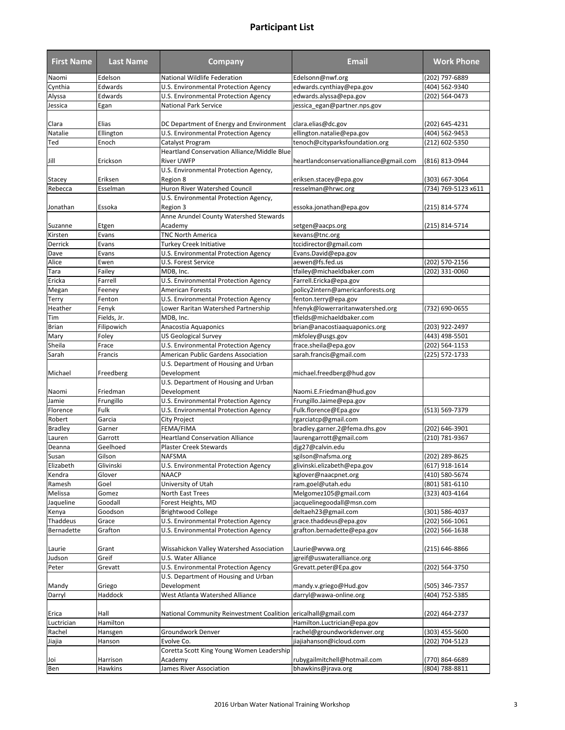| <b>First Name</b> | <b>Last Name</b> | <b>Company</b>                                                 | Email                                   | <b>Work Phone</b>   |
|-------------------|------------------|----------------------------------------------------------------|-----------------------------------------|---------------------|
| Naomi             | Edelson          | National Wildlife Federation                                   | Edelsonn@nwf.org                        | (202) 797-6889      |
| Cynthia           | Edwards          | U.S. Environmental Protection Agency                           | edwards.cynthiay@epa.gov                | (404) 562-9340      |
| Alyssa            | Edwards          | U.S. Environmental Protection Agency                           | edwards.alyssa@epa.gov                  | (202) 564-0473      |
| Jessica           | Egan             | <b>National Park Service</b>                                   | jessica_egan@partner.nps.gov            |                     |
|                   |                  |                                                                |                                         |                     |
| Clara             | Elias            | DC Department of Energy and Environment                        | clara.elias@dc.gov                      | (202) 645-4231      |
| Natalie           | Ellington        | U.S. Environmental Protection Agency                           | ellington.natalie@epa.gov               | (404) 562-9453      |
| Ted               | Enoch            | Catalyst Program                                               | tenoch@cityparksfoundation.org          | (212) 602-5350      |
|                   |                  | Heartland Conservation Alliance/Middle Blue                    |                                         |                     |
| Jill              | Erickson         | <b>River UWFP</b>                                              | heartlandconservationalliance@gmail.com | (816) 813-0944      |
|                   |                  | U.S. Environmental Protection Agency,                          |                                         |                     |
| Stacey            | Eriksen          | Region 8                                                       | eriksen.stacey@epa.gov                  | (303) 667-3064      |
| Rebecca           | Esselman         | Huron River Watershed Council                                  | resselman@hrwc.org                      | (734) 769-5123 x611 |
|                   |                  | U.S. Environmental Protection Agency,                          |                                         |                     |
| Jonathan          | Essoka           | Region 3                                                       | essoka.jonathan@epa.gov                 | (215) 814-5774      |
|                   |                  | Anne Arundel County Watershed Stewards                         |                                         |                     |
| Suzanne           | Etgen            | Academy                                                        | setgen@aacps.org                        | (215) 814-5714      |
| Kirsten           | Evans            | <b>TNC North America</b>                                       | kevans@tnc.org                          |                     |
| Derrick           | Evans            | <b>Turkey Creek Initiative</b>                                 | tccidirector@gmail.com                  |                     |
| Dave              | Evans            | U.S. Environmental Protection Agency                           | Evans.David@epa.gov                     |                     |
| Alice             | Ewen             | U.S. Forest Service                                            | aewen@fs.fed.us                         | (202) 570-2156      |
| Tara              | Failey           | MDB. Inc.                                                      | tfailey@michaeldbaker.com               | (202) 331-0060      |
| Ericka            | Farrell          | U.S. Environmental Protection Agency                           | Farrell.Ericka@epa.gov                  |                     |
| Megan             | Feeney           | <b>American Forests</b>                                        | policy2intern@americanforests.org       |                     |
| Terry             | Fenton           | U.S. Environmental Protection Agency                           | fenton.terry@epa.gov                    |                     |
| Heather           | Fenyk            | Lower Raritan Watershed Partnership                            | hfenyk@lowerraritanwatershed.org        | (732) 690-0655      |
| Tim               | Fields, Jr.      | MDB, Inc.                                                      | tfields@michaeldbaker.com               |                     |
| <b>Brian</b>      | Filipowich       | Anacostia Aquaponics                                           | brian@anacostiaaquaponics.org           | (203) 922-2497      |
| Mary              | Foley            | <b>US Geological Survey</b>                                    | mkfoley@usgs.gov                        | (443) 498-5501      |
| Sheila            | Frace            | U.S. Environmental Protection Agency                           | frace.sheila@epa.gov                    | (202) 564-1153      |
| Sarah             | Francis          | American Public Gardens Association                            | sarah.francis@gmail.com                 | (225) 572-1733      |
|                   |                  | U.S. Department of Housing and Urban                           |                                         |                     |
| Michael           | Freedberg        | Development                                                    | michael.freedberg@hud.gov               |                     |
|                   |                  | U.S. Department of Housing and Urban                           |                                         |                     |
| Naomi             | Friedman         | Development                                                    | Naomi.E.Friedman@hud.gov                |                     |
| Jamie             | Frungillo        | U.S. Environmental Protection Agency                           | Frungillo.Jaime@epa.gov                 |                     |
| Florence          | Fulk             | U.S. Environmental Protection Agency                           | Fulk.florence@Epa.gov                   | (513) 569-7379      |
| Robert            | Garcia           | City Project                                                   | rgarciatcp@gmail.com                    |                     |
| <b>Bradley</b>    | Garner           | FEMA/FIMA                                                      | bradley.garner.2@fema.dhs.gov           | (202) 646-3901      |
| Lauren            | Garrott          | <b>Heartland Conservation Alliance</b>                         | laurengarrott@gmail.com                 | (210) 781-9367      |
| Deanna            | Geelhoed         | <b>Plaster Creek Stewards</b>                                  | djg27@calvin.edu                        |                     |
| Susan             | Gilson           | <b>NAFSMA</b>                                                  | sgilson@nafsma.org                      | (202) 289-8625      |
| Elizabeth         | Glivinski        | U.S. Environmental Protection Agency                           | glivinski.elizabeth@epa.gov             | (617) 918-1614      |
| Kendra            | Glover           | <b>NAACP</b>                                                   | kglover@naacpnet.org                    | (410) 580-5674      |
| Ramesh            | Goel             | University of Utah                                             | ram.goel@utah.edu                       | (801) 581-6110      |
| Melissa           | Gomez            | North East Trees                                               | Melgomez105@gmail.com                   | (323) 403-4164      |
| Jaqueline         | Goodall          | Forest Heights, MD                                             | jacquelinegoodall@msn.com               |                     |
| Kenya             | Goodson          | <b>Brightwood College</b>                                      | deltaeh23@gmail.com                     | (301) 586-4037      |
| Thaddeus          | Grace            | <b>U.S. Environmental Protection Agency</b>                    | grace.thaddeus@epa.gov                  | (202) 566-1061      |
| Bernadette        | Grafton          | U.S. Environmental Protection Agency                           | grafton.bernadette@epa.gov              | (202) 566-1638      |
|                   |                  |                                                                |                                         |                     |
| Laurie            | Grant            | Wissahickon Valley Watershed Association                       | Laurie@wvwa.org                         | (215) 646-8866      |
| Judson            | Greif            | U.S. Water Alliance                                            | jgreif@uswateralliance.org              |                     |
| Peter             | Grevatt          | U.S. Environmental Protection Agency                           | Grevatt.peter@Epa.gov                   | (202) 564-3750      |
|                   |                  | U.S. Department of Housing and Urban                           |                                         |                     |
| Mandy             | Griego           | Development                                                    | mandy.v.griego@Hud.gov                  | (505) 346-7357      |
| Darryl            | Haddock          | West Atlanta Watershed Alliance                                | darryl@wawa-online.org                  | (404) 752-5385      |
|                   |                  |                                                                |                                         |                     |
| Erica             | Hall             | National Community Reinvestment Coalition ericalhall@gmail.com |                                         | (202) 464-2737      |
| Luctrician        | Hamilton         |                                                                | Hamilton.Luctrician@epa.gov             |                     |
| Rachel            | Hansgen          | Groundwork Denver                                              | rachel@groundworkdenver.org             | (303) 455-5600      |
| Jiajia            | Hanson           | Evolve Co.                                                     | jiajiahanson@icloud.com                 | (202) 704-5123      |
|                   |                  | Coretta Scott King Young Women Leadership                      |                                         |                     |
| Joi               | Harrison         | Academy                                                        | rubygailmitchell@hotmail.com            | (770) 864-6689      |
| Ben               | Hawkins          | James River Association                                        | bhawkins@jrava.org                      | (804) 788-8811      |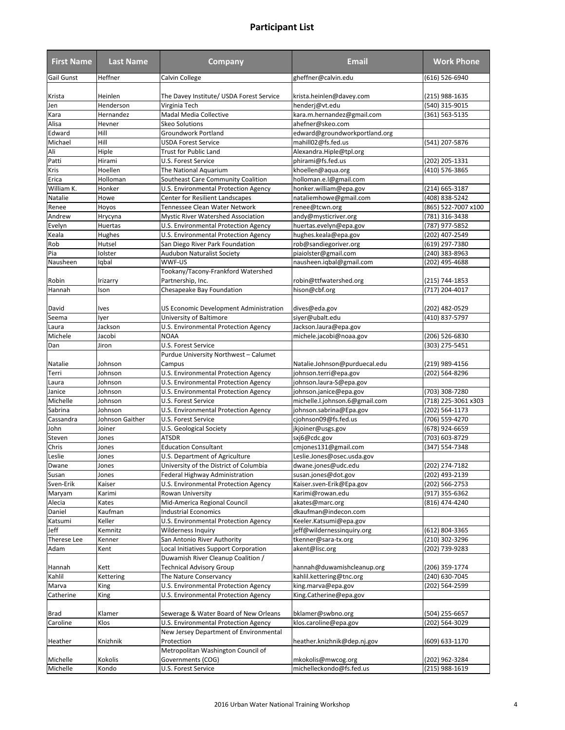| <b>First Name</b> | <b>Last Name</b> | <b>Company</b>                           | Email                          | <b>Work Phone</b>   |
|-------------------|------------------|------------------------------------------|--------------------------------|---------------------|
| Gail Gunst        | Heffner          | Calvin College                           | gheffner@calvin.edu            | (616) 526-6940      |
| Krista            | Heinlen          | The Davey Institute/ USDA Forest Service | krista.heinlen@davey.com       | (215) 988-1635      |
| Jen               | Henderson        | Virginia Tech                            | henderj@vt.edu                 | (540) 315-9015      |
| Kara              | Hernandez        | Madal Media Collective                   | kara.m.hernandez@gmail.com     | (361) 563-5135      |
| Alisa             | Hevner           | <b>Skeo Solutions</b>                    | ahefner@skeo.com               |                     |
| Edward            | Hill             | Groundwork Portland                      | edward@groundworkportland.org  |                     |
| Michael           | Hill             | <b>USDA Forest Service</b>               | mahill02@fs.fed.us             | (541) 207-5876      |
| Ali               | Hiple            | <b>Trust for Public Land</b>             | Alexandra.Hiple@tpl.org        |                     |
| Patti             | Hirami           | U.S. Forest Service                      | phirami@fs.fed.us              | (202) 205-1331      |
| Kris              | Hoellen          | The National Aquarium                    | khoellen@aqua.org              | (410) 576-3865      |
| Erica             | Holloman         | Southeast Care Community Coalition       | holloman.e.l@gmail.com         |                     |
| William K.        | Honker           | U.S. Environmental Protection Agency     | honker.william@epa.gov         | (214) 665-3187      |
|                   |                  |                                          |                                |                     |
| Natalie           | Howe             | Center for Resilient Landscapes          | nataliemhowe@gmail.com         | (408) 838-5242      |
| Renee             | Hoyos            | Tennessee Clean Water Network            | renee@tcwn.org                 | (865) 522-7007 x100 |
| Andrew            | Hrycyna          | Mystic River Watershed Association       | andy@mysticriver.org           | (781) 316-3438      |
| Evelyn            | Huertas          | U.S. Environmental Protection Agency     | huertas.evelyn@epa.gov         | (787) 977-5852      |
| Keala             | Hughes           | U.S. Environmental Protection Agency     | hughes.keala@epa.gov           | (202) 407-2549      |
| Rob               | Hutsel           | San Diego River Park Foundation          | rob@sandiegoriver.org          | (619) 297-7380      |
| Pia               | Iolster          | Audubon Naturalist Society               | piaiolster@gmail.com           | (240) 383-8963      |
| Nausheen          | Iqbal            | WWF-US                                   | nausheen.iqbal@gmail.com       | (202) 495-4688      |
|                   |                  | Tookany/Tacony-Frankford Watershed       |                                |                     |
| Robin             | Irizarry         | Partnership, Inc.                        | robin@ttfwatershed.org         | (215) 744-1853      |
| Hannah            | Ison             | Chesapeake Bay Foundation                | hison@cbf.org                  | (717) 204-4017      |
| David             | Ives             | US Economic Development Administration   | dives@eda.gov                  | (202) 482-0529      |
| Seema             | lyer             | University of Baltimore                  | siyer@ubalt.edu                | (410) 837-5797      |
|                   | Jackson          |                                          |                                |                     |
| Laura             |                  | U.S. Environmental Protection Agency     | Jackson.laura@epa.gov          |                     |
| Michele           | Jacobi           | <b>NOAA</b>                              | michele.jacobi@noaa.gov        | (206) 526-6830      |
| Dan               | Jiron            | U.S. Forest Service                      |                                | (303) 275-5451      |
|                   |                  | Purdue University Northwest - Calumet    |                                |                     |
| Natalie           | Johnson          | Campus                                   | Natalie.Johnson@purduecal.edu  | (219) 989-4156      |
| Terri             | Johnson          | U.S. Environmental Protection Agency     | johnson.terri@epa.gov          | (202) 564-8296      |
| Laura             | Johnson          | U.S. Environmental Protection Agency     | johnson.laura-S@epa.gov        |                     |
| Janice            | Johnson          | U.S. Environmental Protection Agency     | johnson.janice@epa.gov         | (703) 308-7280      |
| Michelle          | Johnson          | U.S. Forest Service                      | michelle.l.johnson.6@gmail.com | (718) 225-3061 x303 |
| Sabrina           | Johnson          | U.S. Environmental Protection Agency     | johnson.sabrina@Epa.gov        | (202) 564-1173      |
| Cassandra         | Johnson Gaither  | U.S. Forest Service                      | cjohnson09@fs.fed.us           | (706) 559-4270      |
| John              | Joiner           | U.S. Geological Society                  | jkjoiner@usgs.gov              | (678) 924-6659      |
| Steven            | Jones            | <b>ATSDR</b>                             | sxj6@cdc.gov                   | (703) 603-8729      |
| Chris             | Jones            | <b>Education Consultant</b>              | cmjones131@gmail.com           | (347) 554-7348      |
| Leslie            | Jones            | U.S. Department of Agriculture           | Leslie.Jones@osec.usda.gov     |                     |
|                   |                  |                                          |                                |                     |
| Dwane             | Jones            | University of the District of Columbia   | dwane.jones@udc.edu            | (202) 274-7182      |
| Susan             | Jones            | Federal Highway Administration           | susan.jones@dot.gov            | (202) 493-2139      |
| Sven-Erik         | Kaiser           | U.S. Environmental Protection Agency     | Kaiser.sven-Erik@Epa.gov       | (202) 566-2753      |
| Maryam            | Karimi           | Rowan University                         | Karimi@rowan.edu               | (917) 355-6362      |
| Alecia            | Kates            | Mid-America Regional Council             | akates@marc.org                | (816) 474-4240      |
| Daniel            | Kaufman          | <b>Industrial Economics</b>              | dkaufman@indecon.com           |                     |
| Katsumi           | Keller           | U.S. Environmental Protection Agency     | Keeler.Katsumi@epa.gov         |                     |
| Jeff              | Kemnitz          | Wilderness Inquiry                       | jeff@wildernessinquiry.org     | (612) 804-3365      |
| Therese Lee       | Kenner           | San Antonio River Authority              | tkenner@sara-tx.org            | (210) 302-3296      |
| Adam              | Kent             | Local Initiatives Support Corporation    | akent@lisc.org                 | (202) 739-9283      |
|                   |                  | Duwamish River Cleanup Coalition /       |                                |                     |
| Hannah            | Kett             | Technical Advisory Group                 | hannah@duwamishcleanup.org     | (206) 359-1774      |
| Kahlil            | Kettering        | The Nature Conservancy                   | kahlil.kettering@tnc.org       | (240) 630-7045      |
| Marva             | King             | U.S. Environmental Protection Agency     | king.marva@epa.gov             | (202) 564-2599      |
| Catherine         | King             | U.S. Environmental Protection Agency     | King.Catherine@epa.gov         |                     |
|                   |                  |                                          |                                |                     |
| Brad              | Klamer           | Sewerage & Water Board of New Orleans    | bklamer@swbno.org              | (504) 255-6657      |
| Caroline          | Klos             | U.S. Environmental Protection Agency     | klos.caroline@epa.gov          | (202) 564-3029      |
|                   |                  | New Jersey Department of Environmental   |                                |                     |
| Heather           | Knizhnik         | Protection                               | heather.knizhnik@dep.nj.gov    | (609) 633-1170      |
|                   |                  | Metropolitan Washington Council of       |                                |                     |
| Michelle          | Kokolis          | Governments (COG)                        | mkokolis@mwcog.org             | (202) 962-3284      |
| Michelle          | Kondo            | U.S. Forest Service                      | michelleckondo@fs.fed.us       | (215) 988-1619      |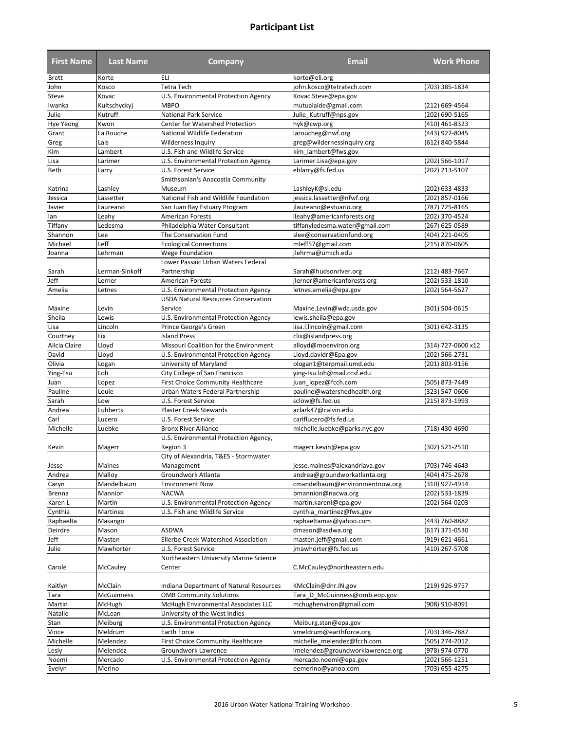| <b>First Name</b>  | <b>Last Name</b>     | <b>Company</b>                                                                     | <b>Email</b>                                      | <b>Work Phone</b>                |
|--------------------|----------------------|------------------------------------------------------------------------------------|---------------------------------------------------|----------------------------------|
| <b>Brett</b>       | Korte                | ELI                                                                                | korte@eli.org                                     |                                  |
| John               | Kosco                | <b>Tetra Tech</b>                                                                  | john.kosco@tetratech.com                          | (703) 385-1834                   |
| Steve              | Kovac                | U.S. Environmental Protection Agency                                               | Kovac.Steve@epa.gov                               |                                  |
| Iwanka             | Kultschyckyj         | <b>MBPO</b>                                                                        | mutualaide@gmail.com                              | (212) 669-4564                   |
| Julie              | Kutruff              | <b>National Park Service</b>                                                       | Julie Kutruff@nps.gov                             | (202) 690-5165                   |
| <b>Hye Yeong</b>   | Kwon                 | Center for Watershed Protection                                                    | hyk@cwp.org                                       | (410) 461-8323                   |
| Grant              | La Rouche            | National Wildlife Federation                                                       | laroucheg@nwf.org                                 | (443) 927-8045                   |
| Greg               | Lais                 | <b>Wilderness Inquiry</b>                                                          | greg@wildernessinquiry.org                        | (612) 840-5844                   |
| Kim                | Lambert              | U.S. Fish and Wildlife Service                                                     | kim lambert@fws.gov                               |                                  |
| Lisa               | Larimer              | U.S. Environmental Protection Agency                                               | Larimer.Lisa@epa.gov                              | (202) 566-1017                   |
| Beth               | Larry                | U.S. Forest Service                                                                | eblarry@fs.fed.us                                 | (202) 213-5107                   |
|                    |                      | Smithsonian's Anacostia Community                                                  |                                                   |                                  |
| Katrina            | Lashley              | Museum                                                                             | LashleyK@si.edu                                   | (202) 633-4833                   |
| Jessica            | Lassetter            | National Fish and Wildlife Foundation                                              | jessica.lassetter@nfwf.org                        | (202) 857-0166                   |
| Javier             | Laureano             | San Juan Bay Estuary Program                                                       | jlaureano@estuario.org                            | (787) 725-8165                   |
| lan                | Leahy                | <b>American Forests</b>                                                            | ileahy@americanforests.org                        | (202) 370-4524                   |
| Tiffany            | Ledesma              | Philadelphia Water Consultant                                                      | tiffanyledesma.water@gmail.com                    | (267) 625-0589                   |
| Shannon<br>Michael | Lee                  | The Conservation Fund                                                              | slee@conservationfund.org                         | (404) 221-0405                   |
|                    | Leff                 | <b>Ecological Connections</b>                                                      | mleff57@gmail.com                                 | (215) 870-0605                   |
| Joanna             | Lehrman              | Wege Foundation<br>Lower Passaic Urban Waters Federal                              | jlehrma@umich.edu                                 |                                  |
|                    |                      |                                                                                    |                                                   |                                  |
| Sarah<br>Jeff      | Lerman-Sinkoff       | Partnership<br><b>American Forests</b>                                             | Sarah@hudsonriver.org                             | (212) 483-7667                   |
|                    | Lerner               |                                                                                    | jlerner@americanforests.org                       | (202) 533-1810                   |
| Amelia             | Letnes               | U.S. Environmental Protection Agency<br><b>USDA Natural Resources Conservation</b> | letnes.amelia@epa.gov                             | (202) 564-5627                   |
| Maxine             |                      | Service                                                                            |                                                   |                                  |
| Sheila             | Levin<br>Lewis       | U.S. Environmental Protection Agency                                               | Maxine.Levin@wdc.usda.gov<br>lewis.sheila@epa.gov | (301) 504-0615                   |
| Lisa               | Lincoln              |                                                                                    | lisa.l.lincoln@gmail.com                          | (301) 642-3135                   |
| Courtney           | Lix                  | Prince George's Green<br><b>Island Press</b>                                       | clix@islandpress.org                              |                                  |
| Alicia Claire      | Lloyd                | Missouri Coalition for the Environment                                             | alloyd@moenviron.org                              | (314) 727-0600 x12               |
| David              | Lloyd                | U.S. Environmental Protection Agency                                               | Lloyd.davidr@Epa.gov                              | (202) 566-2731                   |
| Olivia             | Logan                | University of Maryland                                                             | ologan1@terpmail.umd.edu                          | (201) 803-9156                   |
| Ying-Tsu           | Loh                  | City College of San Francisco                                                      | ying-tsu.loh@mail.ccsf.edu                        |                                  |
| Juan               | Lopez                | First Choice Community Healthcare                                                  | juan lopez@fcch.com                               | (505) 873-7449                   |
| Pauline            | Louie                | Urban Waters Federal Partnership                                                   | pauline@watershedhealth.org                       | (323) 547-0606                   |
| Sarah              | Low                  | U.S. Forest Service                                                                | sclow@fs.fed.us                                   | (215) 873-1993                   |
| Andrea             | Lubberts             | <b>Plaster Creek Stewards</b>                                                      | aclark47@calvin.edu                               |                                  |
| Carl               | Lucero               | U.S. Forest Service                                                                | carlflucero@fs.fed.us                             |                                  |
| Michelle           | Luebke               | <b>Bronx River Alliance</b>                                                        | michelle.luebke@parks.nyc.gov                     | (718) 430-4690                   |
|                    |                      | U.S. Environmental Protection Agency,                                              |                                                   |                                  |
| Kevin              | Magerr               | Region 3                                                                           | magerr.kevin@epa.gov                              | (302) 521-2510                   |
|                    |                      | City of Alexandria, T&ES - Stormwater                                              |                                                   |                                  |
| Jesse              | <b>Maines</b>        | Management                                                                         | jesse.maines@alexandriava.gov                     | (703) 746-4643                   |
| Andrea             | Malloy               | Groundwork Atlanta                                                                 | andrea@groundworkatlanta.org                      | (404) 475-2678                   |
| Caryn              | Mandelbaum           | <b>Environment Now</b>                                                             | cmandelbaum@environmentnow.org                    | (310) 927-4914                   |
| <b>Brenna</b>      | Mannion              | <b>NACWA</b>                                                                       | bmannion@nacwa.org                                | (202) 533-1839                   |
| Karen L            | Martin               | U.S. Environmental Protection Agency                                               | martin.karenl@epa.gov                             | (202) 564-0203                   |
| Cynthia            | Martinez             | U.S. Fish and Wildlife Service                                                     | cynthia_martinez@fws.gov                          |                                  |
| Raphaelta          | Masango              |                                                                                    | raphaeltamas@yahoo.com                            | (443) 760-8882                   |
| Deirdre            | Mason                | ASDWA                                                                              | dmason@asdwa.org                                  | (617) 371-0530                   |
| Jeff               | Masten               | Ellerbe Creek Watershed Association                                                | masten.jeff@gmail.com                             | (919) 621-4661                   |
| Julie              | Mawhorter            | U.S. Forest Service                                                                | jmawhorter@fs.fed.us                              | $\sqrt{410}$ 267-5708            |
|                    |                      | Northeastern University Marine Science                                             |                                                   |                                  |
| Carole             | McCauley             | Center                                                                             | C.McCauley@northeastern.edu                       |                                  |
|                    |                      |                                                                                    |                                                   |                                  |
| Kaitlyn            | McClain              | Indiana Department of Natural Resources                                            | KMcClain@dnr.IN.gov                               | (219) 926-9757                   |
| Tara               | <b>McGuinness</b>    | <b>OMB Community Solutions</b>                                                     | Tara D McGuinness@omb.eop.gov                     |                                  |
| Martin<br>Natalie  | McHugh               | McHugh Environmental Associates LLC<br>University of the West Indies               | mchughenviron@gmail.com                           | (908) 910-8091                   |
|                    | McLean               |                                                                                    |                                                   |                                  |
| Stan               | Meiburg              | U.S. Environmental Protection Agency                                               | Meiburg.stan@epa.gov<br>vmeldrum@earthforce.org   |                                  |
| Vince<br>Michelle  | Meldrum              | Earth Force<br>First Choice Community Healthcare                                   | michelle_melendez@fcch.com                        | (703) 346-7887<br>(505) 274-2012 |
| Lesly              | Melendez<br>Melendez | Groundwork Lawrence                                                                | Imelendez@groundworklawrence.org                  | $(978) 974 - 0770$               |
| Noemi              | Mercado              | U.S. Environmental Protection Agency                                               | mercado.noemi@epa.gov                             | (202) 566-1251                   |
|                    |                      |                                                                                    |                                                   |                                  |
| Evelyn             | Merino               |                                                                                    | eemerino@yahoo.com                                | (703) 655-4275                   |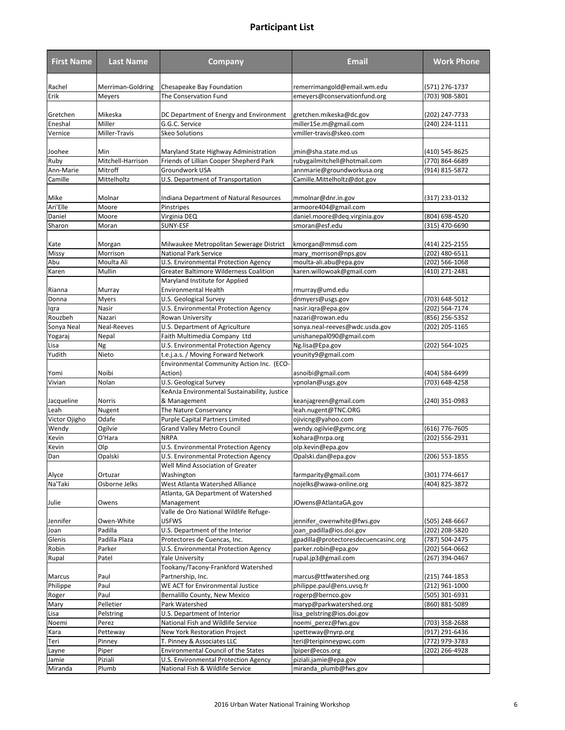| <b>First Name</b>      | <b>Last Name</b>        | <b>Company</b>                                                  | Email                                                            | <b>Work Phone</b>                    |
|------------------------|-------------------------|-----------------------------------------------------------------|------------------------------------------------------------------|--------------------------------------|
| Rachel                 | Merriman-Goldring       | Chesapeake Bay Foundation                                       | remerrimangold@email.wm.edu                                      | (571) 276-1737                       |
| Erik                   | Meyers                  | The Conservation Fund                                           | emeyers@conservationfund.org                                     | (703) 908-5801                       |
|                        |                         |                                                                 |                                                                  |                                      |
| Gretchen               | Mikeska                 | DC Department of Energy and Environment                         | gretchen.mikeska@dc.gov                                          | (202) 247-7733                       |
| Eneshal                | Miller                  | G.G.C. Service                                                  | miller15e.m@gmail.com                                            | (240) 224-1111                       |
| Vernice                | Miller-Travis           | <b>Skeo Solutions</b>                                           | vmiller-travis@skeo.com                                          |                                      |
| Joohee                 | Min                     | Maryland State Highway Administration                           | imin@sha.state.md.us                                             | (410) 545-8625                       |
| Ruby                   | Mitchell-Harrison       | Friends of Lillian Cooper Shepherd Park                         | rubygailmitchell@hotmail.com                                     | (770) 864-6689                       |
| Ann-Marie              | Mitroff                 | Groundwork USA                                                  | annmarie@groundworkusa.org                                       | (914) 815-5872                       |
| Camille                | Mittelholtz             | U.S. Department of Transportation                               | Camille.Mittelholtz@dot.gov                                      |                                      |
|                        |                         |                                                                 |                                                                  |                                      |
| Mike<br>Ari'Elle       | Molnar<br>Moore         | Indiana Department of Natural Resources<br>Pinstripes           | mmolnar@dnr.in.gov<br>armoore404@gmail.com                       | (317) 233-0132                       |
| Daniel                 | Moore                   | Virginia DEQ                                                    | daniel.moore@deq.virginia.gov                                    | (804) 698-4520                       |
| Sharon                 | Moran                   | SUNY-ESF                                                        | smoran@esf.edu                                                   | (315) 470-6690                       |
|                        |                         |                                                                 |                                                                  |                                      |
| Kate                   | Morgan                  | Milwaukee Metropolitan Sewerage District                        | kmorgan@mmsd.com                                                 | (414) 225-2155                       |
| Missy                  | Morrison                | <b>National Park Service</b>                                    | mary morrison@nps.gov                                            | (202) 480-6511                       |
| Abu                    | Moulta Ali              | U.S. Environmental Protection Agency                            | moulta-ali.abu@epa.gov                                           | (202) 566-1068                       |
| Karen                  | Mullin                  | <b>Greater Baltimore Wilderness Coalition</b>                   | karen.willowoak@gmail.com                                        | (410) 271-2481                       |
|                        |                         | Maryland Institute for Applied                                  |                                                                  |                                      |
| Rianna                 | Murray                  | <b>Environmental Health</b>                                     | rmurray@umd.edu                                                  |                                      |
| Donna                  | <b>Myers</b>            | U.S. Geological Survey                                          | dnmyers@usgs.gov                                                 | (703) 648-5012                       |
| lqra<br>Rouzbeh        | Nasir<br>Nazari         | U.S. Environmental Protection Agency                            | nasir.iqra@epa.gov<br>nazari@rowan.edu                           | (202) 564-7174<br>(856) 256-5352     |
| Sonya Neal             | Neal-Reeves             | Rowan University<br>U.S. Department of Agriculture              | sonya.neal-reeves@wdc.usda.gov                                   | (202) 205-1165                       |
| Yogaraj                | Nepal                   | Faith Multimedia Company Ltd                                    | unishanepal090@gmail.com                                         |                                      |
| Lisa                   | Ng                      | U.S. Environmental Protection Agency                            | Ng.lisa@Epa.gov                                                  | (202) 564-1025                       |
| Yudith                 | Nieto                   | t.e.j.a.s. / Moving Forward Network                             | younity9@gmail.com                                               |                                      |
|                        |                         | Environmental Community Action Inc. (ECO-                       |                                                                  |                                      |
| Yomi                   | Noibi                   | Action)                                                         | asnoibi@gmail.com                                                | (404) 584-6499                       |
| Vivian                 | Nolan                   | U.S. Geological Survey                                          | vpnolan@usgs.gov                                                 | (703) 648-4258                       |
|                        |                         | KeAnJa Environmental Sustainability, Justice                    |                                                                  |                                      |
| Jacqueline             | Norris                  | & Management                                                    | keanjagreen@gmail.com                                            | (240) 351-0983                       |
| Leah                   | Nugent                  | The Nature Conservancy                                          | leah.nugent@TNC.ORG                                              |                                      |
| Victor Ojigho<br>Wendy | Odafe<br>Ogilvie        | Purple Capital Partners Limited<br>Grand Valley Metro Council   | ojivicng@yahoo.com<br>wendy.ogilvie@gvmc.org                     | (616) 776-7605                       |
| Kevin                  | O'Hara                  | <b>NRPA</b>                                                     | kohara@nrpa.org                                                  | (202) 556-2931                       |
| Kevin                  | Olp                     | U.S. Environmental Protection Agency                            | olp.kevin@epa.gov                                                |                                      |
| Dan                    | Opalski                 | U.S. Environmental Protection Agency                            | Opalski.dan@epa.gov                                              | (206) 553-1855                       |
|                        |                         | Well Mind Association of Greater                                |                                                                  |                                      |
| Alyce                  | Ortuzar                 | Washington                                                      | farmparity@gmail.com                                             | (301) 774-6617                       |
| Na'Taki                | Osborne Jelks           | West Atlanta Watershed Alliance                                 | nojelks@wawa-online.org                                          | (404) 825-3872                       |
|                        |                         | Atlanta, GA Department of Watershed                             |                                                                  |                                      |
| Julie                  | Owens                   | Management                                                      | JOwens@AtlantaGA.gov                                             |                                      |
|                        |                         | Valle de Oro National Wildlife Refuge-                          |                                                                  |                                      |
| Jennifer               | Owen-White              | <b>USFWS</b>                                                    | jennifer_owenwhite@fws.gov                                       | (505) 248-6667                       |
| Joan<br>Glenis         | Padilla                 | U.S. Department of the Interior<br>Protectores de Cuencas, Inc. | joan padilla@ios.doi.gov<br>gpadilla@protectoresdecuencasinc.org | (202) 208-5820                       |
| Robin                  | Padilla Plaza<br>Parker | U.S. Environmental Protection Agency                            | parker.robin@epa.gov                                             | (787) 504-2475<br>$(202) 564 - 0662$ |
| Rupal                  | Patel                   | <b>Yale University</b>                                          | rupal.jp3@gmail.com                                              | $(267)$ 394-0467                     |
|                        |                         | Tookany/Tacony-Frankford Watershed                              |                                                                  |                                      |
| Marcus                 | Paul                    | Partnership, Inc.                                               | marcus@ttfwatershed.org                                          | (215) 744-1853                       |
| Philippe               | Paul                    | WE ACT for Environmental Justice                                | philippe.paul@ens.uvsq.fr                                        | (212) 961-1000                       |
| Roger                  | Paul                    | Bernalillo County, New Mexico                                   | rogerp@bernco.gov                                                | (505) 301-6931                       |
| Mary                   | Pelletier               | Park Watershed                                                  | maryp@parkwatershed.org                                          | (860) 881-5089                       |
| Lisa                   | Pelstring               | U.S. Department of Interior                                     | lisa_pelstring@ios.doi.gov                                       |                                      |
| Noemi                  | Perez                   | National Fish and Wildlife Service                              | noemi_perez@fws.gov                                              | (703) 358-2688                       |
| Kara                   | Petteway                | New York Restoration Project                                    | spetteway@nyrp.org                                               | (917) 291-6436                       |
| Teri                   | Pinney                  | T. Pinney & Associates LLC                                      | teri@teripinneypwc.com                                           | (772) 979-3783                       |
| Layne                  | Piper                   | Environmental Council of the States                             | lpiper@ecos.org                                                  | (202) 266-4928                       |
| Jamie                  | Piziali                 | U.S. Environmental Protection Agency                            | piziali.jamie@epa.gov                                            |                                      |
| Miranda                | Plumb                   | National Fish & Wildlife Service                                | miranda_plumb@fws.gov                                            |                                      |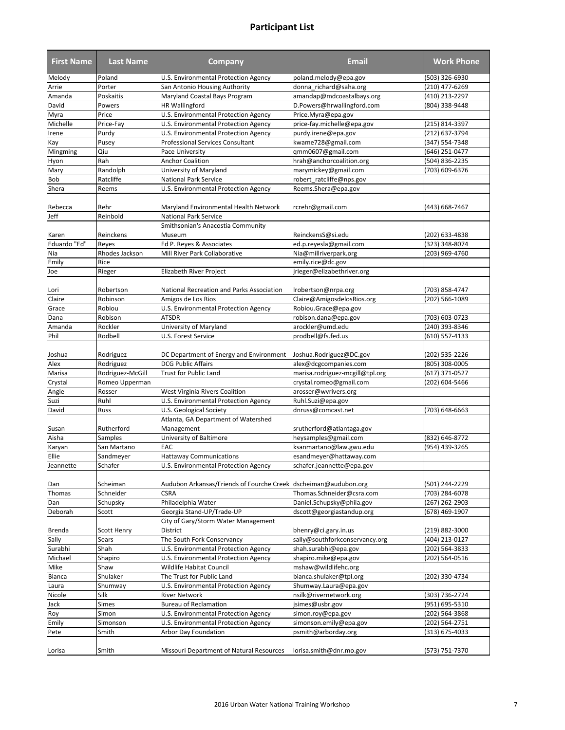| <b>First Name</b> | <b>Last Name</b>   | <b>Company</b>                                                  | Email                           | <b>Work Phone</b> |
|-------------------|--------------------|-----------------------------------------------------------------|---------------------------------|-------------------|
| Melody            | Poland             | <b>U.S. Environmental Protection Agency</b>                     | poland.melody@epa.gov           | (503) 326-6930    |
| Arrie             | Porter             | San Antonio Housing Authority                                   | donna_richard@saha.org          | (210) 477-6269    |
| Amanda            | Poskaitis          | Maryland Coastal Bays Program                                   | amandap@mdcoastalbays.org       | (410) 213-2297    |
| David             | Powers             | <b>HR</b> Wallingford                                           | D.Powers@hrwallingford.com      | (804) 338-9448    |
| Myra              | Price              | U.S. Environmental Protection Agency                            | Price.Myra@epa.gov              |                   |
| Michelle          | Price-Fay          | U.S. Environmental Protection Agency                            | price-fay.michelle@epa.gov      | (215) 814-3397    |
| Irene             | Purdy              | U.S. Environmental Protection Agency                            | purdy.irene@epa.gov             | (212) 637-3794    |
| Kay               | Pusey              | Professional Services Consultant                                | kwame728@gmail.com              | (347) 554-7348    |
| Mingming          | Qiu                | Pace University                                                 | qmm0607@gmail.com               | (646) 251-0477    |
| Hyon              | Rah                | <b>Anchor Coalition</b>                                         | hrah@anchorcoalition.org        | (504) 836-2235    |
| Mary              | Randolph           | University of Maryland                                          | marymickey@gmail.com            | (703) 609-6376    |
| Bob               | Ratcliffe          | <b>National Park Service</b>                                    | robert_ratcliffe@nps.gov        |                   |
| Shera             | Reems              | U.S. Environmental Protection Agency                            | Reems.Shera@epa.gov             |                   |
|                   |                    |                                                                 |                                 |                   |
| Rebecca           | Rehr               | Maryland Environmental Health Network                           | rcrehr@gmail.com                | (443) 668-7467    |
| Jeff              | Reinbold           | <b>National Park Service</b>                                    |                                 |                   |
|                   |                    | Smithsonian's Anacostia Community                               |                                 |                   |
| Karen             | Reinckens          | Museum                                                          | ReinckensS@si.edu               | (202) 633-4838    |
| Eduardo "Ed"      | Reyes              | Ed P. Reyes & Associates                                        | ed.p.reyesla@gmail.com          | (323) 348-8074    |
| Nia               | Rhodes Jackson     | Mill River Park Collaborative                                   | Nia@millriverpark.org           | (203) 969-4760    |
| Emily             | Rice               |                                                                 | emily.rice@dc.gov               |                   |
| Joe               | Rieger             | Elizabeth River Project                                         | jrieger@elizabethriver.org      |                   |
|                   |                    |                                                                 |                                 |                   |
| Lori              | Robertson          | National Recreation and Parks Association                       | Irobertson@nrpa.org             | (703) 858-4747    |
| Claire            | Robinson           | Amigos de Los Rios                                              | Claire@AmigosdelosRios.org      | (202) 566-1089    |
|                   | Robiou             |                                                                 |                                 |                   |
| Grace<br>Dana     | Robison            | U.S. Environmental Protection Agency<br><b>ATSDR</b>            | Robiou.Grace@epa.gov            | (703) 603-0723    |
|                   |                    |                                                                 | robison.dana@epa.gov            |                   |
| Amanda            | Rockler            | University of Maryland                                          | arockler@umd.edu                | (240) 393-8346    |
| Phil              | Rodbell            | U.S. Forest Service                                             | prodbell@fs.fed.us              | (610) 557-4133    |
|                   |                    |                                                                 |                                 |                   |
| Joshua            | Rodriguez          | DC Department of Energy and Environment                         | Joshua.Rodriguez@DC.gov         | (202) 535-2226    |
| Alex              | Rodriguez          | <b>DCG Public Affairs</b>                                       | alex@dcgcompanies.com           | (805) 308-0005    |
| Marisa            | Rodriguez-McGill   | <b>Trust for Public Land</b>                                    | marisa.rodriguez-mcgill@tpl.org | (617) 371-0527    |
| Crystal           | Romeo Upperman     |                                                                 | crystal.romeo@gmail.com         | (202) 604-5466    |
| Angie             | Rosser             | West Virginia Rivers Coalition                                  | arosser@wvrivers.org            |                   |
| Suzi              | Ruhl               | U.S. Environmental Protection Agency                            | Ruhl.Suzi@epa.gov               |                   |
| David             | Russ               | U.S. Geological Society                                         | dnruss@comcast.net              | (703) 648-6663    |
|                   |                    | Atlanta, GA Department of Watershed                             |                                 |                   |
| Susan             | Rutherford         | Management                                                      | srutherford@atlantaga.gov       |                   |
| Aisha             | Samples            | University of Baltimore                                         | heysamples@gmail.com            | (832) 646-8772    |
| Karyan            | San Martano        | EAC                                                             | ksanmartano@law.gwu.edu         | $(954)$ 439-3265  |
| Ellie             | Sandmeyer          | <b>Hattaway Communications</b>                                  | esandmeyer@hattaway.com         |                   |
| Jeannette         | Schafer            | U.S. Environmental Protection Agency                            | schafer.jeannette@epa.gov       |                   |
|                   |                    |                                                                 |                                 |                   |
| Dan               | Scheiman           | Audubon Arkansas/Friends of Fourche Creek dscheiman@audubon.org |                                 | (501) 244-2229    |
| Thomas            | Schneider          | <b>CSRA</b>                                                     | Thomas.Schneider@csra.com       | (703) 284-6078    |
| Dan               | Schupsky           | Philadelphia Water                                              | Daniel.Schupsky@phila.gov       | (267) 262-2903    |
| Deborah           | Scott              | Georgia Stand-UP/Trade-UP                                       | dscott@georgiastandup.org       | (678) 469-1907    |
|                   |                    | City of Gary/Storm Water Management                             |                                 |                   |
| Brenda            | <b>Scott Henry</b> | District                                                        | bhenry@ci.gary.in.us            | (219) 882-3000    |
| Sally             | Sears              | The South Fork Conservancy                                      | sally@southforkconservancy.org  | (404) 213-0127    |
| Surabhi           | Shah               | U.S. Environmental Protection Agency                            | shah.surabhi@epa.gov            | (202) 564-3833    |
| Michael           | Shapiro            | U.S. Environmental Protection Agency                            | shapiro.mike@epa.gov            | (202) 564-0516    |
| Mike              | Shaw               | Wildlife Habitat Council                                        | mshaw@wildlifehc.org            |                   |
| Bianca            | Shulaker           | The Trust for Public Land                                       | bianca.shulaker@tpl.org         | (202) 330-4734    |
| Laura             | Shumway            | U.S. Environmental Protection Agency                            | Shumway.Laura@epa.gov           |                   |
| Nicole            | Silk               | <b>River Network</b>                                            | nsilk@rivernetwork.org          | (303) 736-2724    |
| Jack              | Simes              | <b>Bureau of Reclamation</b>                                    | jsimes@usbr.gov                 | (951) 695-5310    |
| Roy               | Simon              | U.S. Environmental Protection Agency                            | simon.roy@epa.gov               | (202) 564-3868    |
| Emily             | Simonson           | U.S. Environmental Protection Agency                            | simonson.emily@epa.gov          | (202) 564-2751    |
| Pete              | Smith              | Arbor Day Foundation                                            | psmith@arborday.org             | (313) 675-4033    |
|                   |                    |                                                                 |                                 |                   |
| Lorisa            | Smith              | Missouri Department of Natural Resources                        | lorisa.smith@dnr.mo.gov         | (573) 751-7370    |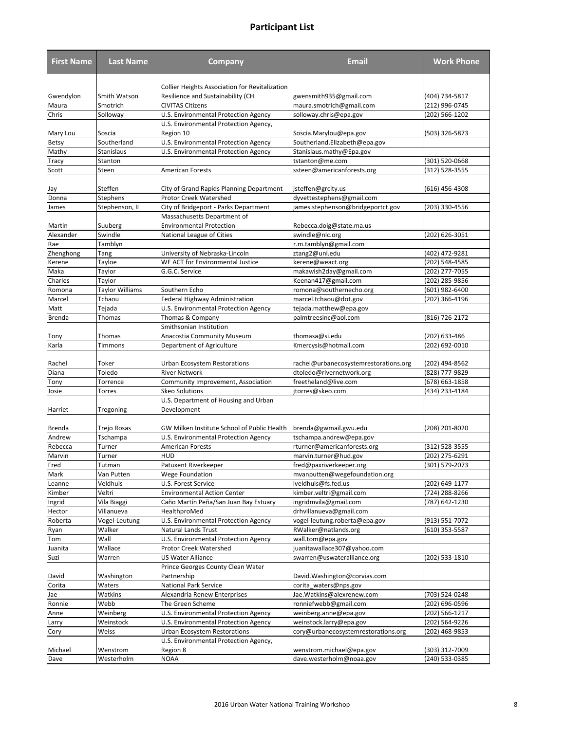| <b>First Name</b> | <b>Last Name</b>        | <b>Company</b>                                                                             | Email                                              | <b>Work Phone</b> |
|-------------------|-------------------------|--------------------------------------------------------------------------------------------|----------------------------------------------------|-------------------|
|                   |                         |                                                                                            |                                                    |                   |
| Gwendylon         | Smith Watson            | <b>Collier Heights Association for Revitalization</b><br>Resilience and Sustainability (CH |                                                    | (404) 734-5817    |
| Maura             | Smotrich                | <b>CIVITAS Citizens</b>                                                                    | gwensmith935@gmail.com<br>maura.smotrich@gmail.com | (212) 996-0745    |
| Chris             | Solloway                | U.S. Environmental Protection Agency                                                       | solloway.chris@epa.gov                             | (202) 566-1202    |
|                   |                         | U.S. Environmental Protection Agency,                                                      |                                                    |                   |
| Mary Lou          | Soscia                  | Region 10                                                                                  | Soscia.Marylou@epa.gov                             | (503) 326-5873    |
| Betsy             | Southerland             | U.S. Environmental Protection Agency                                                       | Southerland.Elizabeth@epa.gov                      |                   |
| Mathy             | Stanislaus              | U.S. Environmental Protection Agency                                                       | Stanislaus.mathy@Epa.gov                           |                   |
| Tracy             | Stanton                 |                                                                                            | tstanton@me.com                                    | (301) 520-0668    |
| Scott             | Steen                   | <b>American Forests</b>                                                                    | ssteen@americanforests.org                         | (312) 528-3555    |
|                   |                         |                                                                                            |                                                    |                   |
| Jay               | Steffen                 | City of Grand Rapids Planning Department                                                   | jsteffen@grcity.us                                 | (616) 456-4308    |
| Donna             | <b>Stephens</b>         | Protor Creek Watershed                                                                     | dyvettestephens@gmail.com                          |                   |
| James             | Stephenson, II          | City of Bridgeport - Parks Department                                                      | james.stephenson@bridgeportct.gov                  | (203) 330-4556    |
|                   |                         | Massachusetts Department of                                                                |                                                    |                   |
| Martin            | Suuberg                 | <b>Environmental Protection</b>                                                            | Rebecca.doig@state.ma.us                           |                   |
| Alexander         | Swindle                 | National League of Cities                                                                  | swindle@nlc.org                                    | (202) 626-3051    |
| Rae               | Tamblyn                 |                                                                                            | r.m.tamblyn@gmail.com                              |                   |
| Zhenghong         | Tang                    | University of Nebraska-Lincoln                                                             | ztang2@unl.edu                                     | (402) 472-9281    |
| Kerene            | Tayloe                  | WE ACT for Environmental Justice                                                           | kerene@weact.org                                   | (202) 548-4585    |
| Maka              | Taylor                  | G.G.C. Service                                                                             | makawish2day@gmail.com                             | (202) 277-7055    |
| Charles           | Taylor                  |                                                                                            | Keenan417@gmail.com                                | (202) 285-9856    |
| Romona            | <b>Taylor Williams</b>  | Southern Echo                                                                              | romona@southernecho.org                            | (601) 982-6400    |
| Marcel            | Tchaou                  | Federal Highway Administration                                                             | marcel.tchaou@dot.gov                              | (202) 366-4196    |
| Matt              | Tejada                  | U.S. Environmental Protection Agency                                                       | tejada.matthew@epa.gov                             |                   |
| <b>Brenda</b>     | Thomas                  | Thomas & Company                                                                           | palmtreesinc@aol.com                               | (816) 726-2172    |
|                   |                         | Smithsonian Institution                                                                    |                                                    |                   |
| Tony              | Thomas                  | Anacostia Community Museum                                                                 | thomasa@si.edu                                     | (202) 633-486     |
| Karla             | Timmons                 | Department of Agriculture                                                                  | Kmercysis@hotmail.com                              | (202) 692-0010    |
|                   |                         |                                                                                            |                                                    |                   |
| Rachel            | Toker                   | Urban Ecosystem Restorations                                                               | rachel@urbanecosystemrestorations.org              | (202) 494-8562    |
| Diana             | Toledo                  | <b>River Network</b>                                                                       | dtoledo@rivernetwork.org                           | (828) 777-9829    |
| Tony              | Torrence                | Community Improvement, Association<br>Skeo Solutions                                       | freetheland@live.com                               | (678) 663-1858    |
| Josie             | Torres                  | U.S. Department of Housing and Urban                                                       | jtorres@skeo.com                                   | (434) 233-4184    |
| Harriet           | Tregoning               | Development                                                                                |                                                    |                   |
|                   |                         | GW Milken Institute School of Public Health                                                | brenda@gwmail.gwu.edu                              |                   |
| Brenda<br>Andrew  | Trejo Rosas<br>Tschampa | U.S. Environmental Protection Agency                                                       | tschampa.andrew@epa.gov                            | (208) 201-8020    |
| Rebecca           | Turner                  | American Forests                                                                           | rturner@americanforests.org                        | (312) 528-3555    |
| Marvin            | Turner                  | HUD                                                                                        | marvin.turner@hud.gov                              | (202) 275-6291    |
| Fred              | Tutman                  | Patuxent Riverkeeper                                                                       | fred@paxriverkeeper.org                            | (301) 579-2073    |
| Mark              | Van Putten              | <b>Wege Foundation</b>                                                                     | mvanputten@wegefoundation.org                      |                   |
| Leanne            | Veldhuis                | U.S. Forest Service                                                                        | lveldhuis@fs.fed.us                                | (202) 649-1177    |
| Kimber            | Veltri                  | <b>Environmental Action Center</b>                                                         | kimber.veltri@gmail.com                            | (724) 288-8266    |
| Ingrid            | Vila Biaggi             | Caño Martín Peña/San Juan Bay Estuary                                                      | ingridmvila@gmail.com                              | (787) 642-1230    |
| Hector            | Villanueva              | HealthproMed                                                                               | drhvillanueva@gmail.com                            |                   |
| Roberta           | Vogel-Leutung           | U.S. Environmental Protection Agency                                                       | vogel-leutung.roberta@epa.gov                      | (913) 551-7072    |
| Ryan              | Walker                  | Natural Lands Trust                                                                        | RWalker@natlands.org                               | (610) 353-5587    |
| Tom               | Wall                    | U.S. Environmental Protection Agency                                                       | wall.tom@epa.gov                                   |                   |
| Juanita           | Wallace                 | Protor Creek Watershed                                                                     | juanitawallace307@yahoo.com                        |                   |
| Suzi              | Warren                  | US Water Alliance                                                                          | swarren@uswateralliance.org                        | (202) 533-1810    |
|                   |                         | Prince Georges County Clean Water                                                          |                                                    |                   |
| David             | Washington              | Partnership                                                                                | David.Washington@corvias.com                       |                   |
| Corita            | Waters                  | <b>National Park Service</b>                                                               | corita waters@nps.gov                              |                   |
| Jae               | Watkins                 | Alexandria Renew Enterprises                                                               | Jae.Watkins@alexrenew.com                          | (703) 524-0248    |
| Ronnie            | Webb                    | The Green Scheme                                                                           | ronniefwebb@gmail.com                              | (202) 696-0596    |
| Anne              | Weinberg                | U.S. Environmental Protection Agency                                                       | weinberg.anne@epa.gov                              | (202) 566-1217    |
| Larry             | Weinstock               | U.S. Environmental Protection Agency                                                       | weinstock.larry@epa.gov                            | (202) 564-9226    |
| Cory              | Weiss                   | Urban Ecosystem Restorations                                                               | cory@urbanecosystemrestorations.org                | (202) 468-9853    |
|                   |                         | U.S. Environmental Protection Agency,                                                      |                                                    |                   |
| Michael           | Wenstrom                | Region 8                                                                                   | wenstrom.michael@epa.gov                           | (303) 312-7009    |
| Dave              | Westerholm              | <b>NOAA</b>                                                                                | dave.westerholm@noaa.gov                           | (240) 533-0385    |